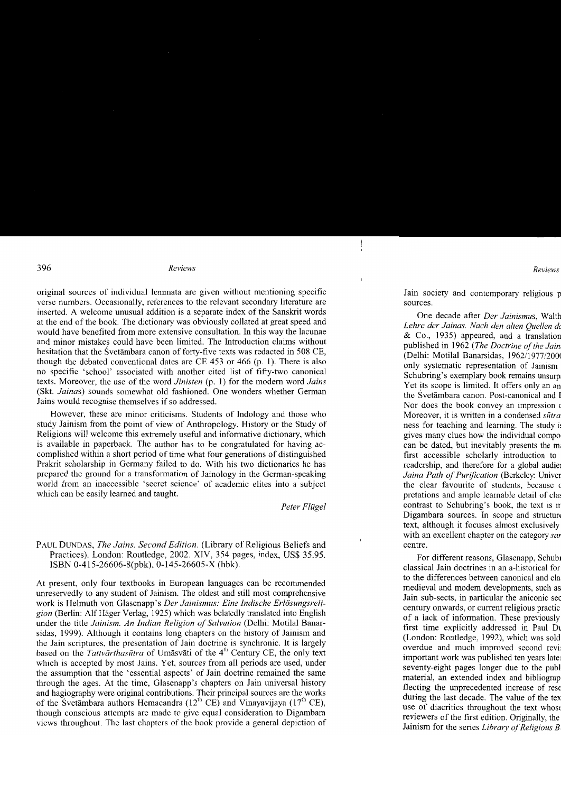original sources of individual lemmata are given without mentioning specific verse numbers. Occasionally, references to the relevant secondary literature are inserted. A welcome unusual addition is a separate index of the Sanskrit words at the end of the book. The dictionary was obviously collated at great speed and would have benefited from more extensive consultation. In this way the lacunae and minor mistakes could have been limited. The lntroduction claims without hesitation that the Svetambara canon of forty-five texts was redacted in 508 CE, though the debated conventional dates are CE 453 or 466 (p. l). There is also no specific 'school' associated with another cited list of fifty-two canonical texts. Moreover, the use of the word *Jinisten* (p. 1) for the modern word *Jains* (Skt. Jainas) sounds somewhat old fashioned. One wonders whether German Jains would recognise themselves if so addressed.

However, these are minor criticisms. Students of Indology and those who study Jainism from the point of view of Anthropology, History or the Study of Religions will welcome this extremely useful and informative dictionary, which is available in paperback. The author has to be congratulated for having accomplished within a short period of time what four generations of distinguished Prakrit scholarship in Germany failed to do. With his two dictionaries he has prepared the ground for a transformation of Jainology in the German-speaking world from an inaccessible 'secret science' of academic elites into a subiect which can be easily learned and taught.

Peter Flügel

## PAUL DUNDAS, *The Jains. Second Edition*. (Library of Religious Beliefs and Practices). London: Routledge, 2002. XIV, 354 pages, index, US\$ 35.95. ISBN 0-415-26606-8(pbk), 0-145-26605-X (hbk).

At present, only four textbooks in European languages can be recommended unreservedly to any student of Jainism. The oldest and still most comprehensive work is Helmuth von Glasenapp's Der Jainismus: Eine Indische Erlösungsreligion (Berlin: Alf Häger Verlag, 1925) which was belatedly translated into English under the title Jainism. An Indian Religion of Salvation (Delhi: Motilal Banarsidas, 1999). Although it contains long chapters on the history of Jainism and the Jain scriptures, the presentation of Jain doctrine is synchronic. It is largely based on the Tattvārthasūtra of Umāsvāti of the 4<sup>th</sup> Century CE, the only text which is accepted by most Jains. Yet, sources from all periods are used, under the assumption that the 'essential aspects' of Jain doctrine remained the same through the ages. At the time, Glasenapp's chapters on Jain universal history and hagiography were original contributions. Their principal sources are the works of the Svetambara authors Hemacandra  $(12^{th} \text{ CE})$  and Vinayavijaya  $(17^{th} \text{ CE})$ , though conscious attempts are made to give equal consideration to Digambara views throughout. The last chapters of the book provide a general depiction of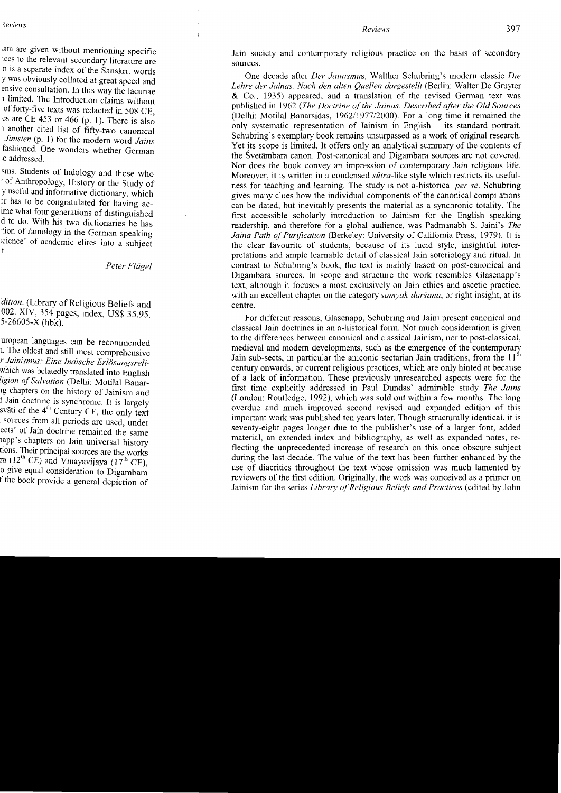Jain society and contemporary religious practice on the basis of secondary sources.

One decade after Der Jainismus, Walther Schubring's modern classic Dje Lehre der Jainas. Nach den alten Quellen dargestellt (Berlin: Walter De Gruyter & Co.. 1935) appeared, and a translation of the revised German text was published in 1962 (The Doctrine of the Jainas. Described after the Old Sources (Delhi: Motilal Banarsidas, 1962/1977/2000). For a long time it remained the only systematic representation of Jainism in English  $-$  its standard portrait. Schubring's exemplary book remains unsurpassed as a work of original research. Yet its scope is limited. It offers only an analytical summary of the contents of the Svetambara canon. Post-canonical and Digambara sources are not covered. Nor does the book convey an impression of contemporary Jain religious life. Moreover, it is written in a condensed *sūtra*-like style which restricts its usefulness for teaching and learning. The study is not a-historical *per se*. Schubring gives many clues how the individual components of the canonical compilations can be dated. but inevitably presents the material as a synchronic totality. The first accessible scholarly introduction to Jainism for the English speaking readership, and therefore for a global audience, was Padmanabh S. Jaini's The Jaina Path of Purfication (Berkeley: University of California Press, 1979). It is the clear favourite of students, because of its lucid style, insightful interpretations and ample learnable detail of classical Jain soteriology and ritual. In contrast to Schubring's book, the text is mainly based on post-canonical and Digambara sources. In scope and structure the work resembles Glasenapp's text, although it focuses almost exclusively on Jain ethics and ascetic practice, with an excellent chapter on the category *samvak-darsana*, or right insight, at its centre.

For different reasons, Glasenapp, Schubring and Jaini present canonical and classical Jain doctrines in an a-historical fbrm. Not much consideration is given to the differences between canonical and classical Jainism. nor to post-classical, medieval and modem developments, such as the emergence of the contemporary Jain sub-sects, in particular the aniconic sectarian Jain traditions, from the  $11<sup>th</sup>$ century onwards, or current religious practices, which are only hinted at because of a lack of information. These previously unresearched aspects were for the first time explicitly addressed in Paul Dundas' admirable study The Jains (London: Routledge. 1992), which was sold out within a few months. The long overdue and much improved second revised and expanded edition of this important work was published ten years later. Though structurally identical, it is seventy-eight pages longer due to the publisher's use of a larger font, added material, an extended index and bibliography, as well as expanded notes, reflecting the unprecedented increase of research on this once obscure subject during the last decade. The value of the text has been further enhanced by the use of diacritics throughout the text whose omission was much lamented by reviewers of the first edition. Originally, the work was conceived as a primer on Jainism for the series Library of Religious Beliefs and Practices (edited by John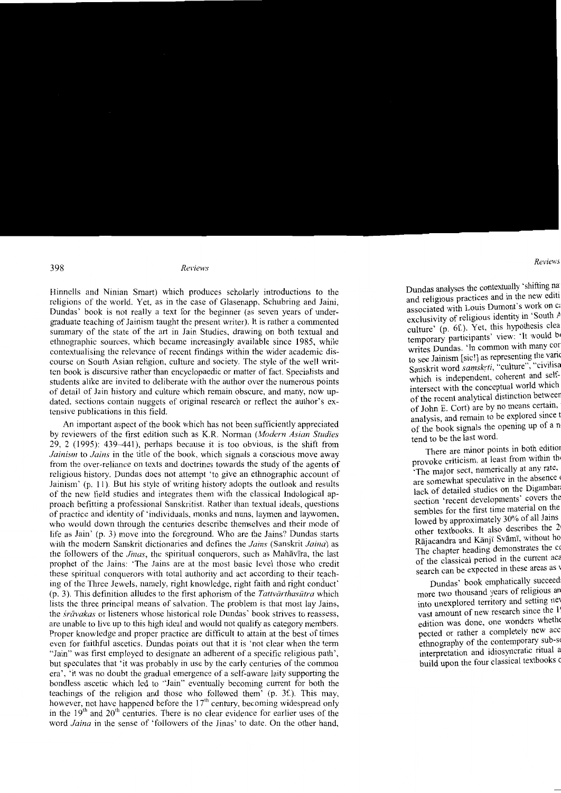Hinnells and Ninian Smart) which produces scholarly introductions to the religions of the world. Yet, as in the case of Glasenapp, Schubring and Jaini, Dundas' book is not really a text for the beginner (as seven years of undergraduate teaching of Jainism taught the present writer). It is rather a commented summary of the state of the art in Jain Studies, drawing on both textual and ethnographic sources. which became increasingly available since 1985, while contextualising the relevance of recent findings within the wider academic discourse on South Asian religion, culture and society. The style of the well wrir ten book is discursive rather than encyclopaedic or matter of fact. Specialists and students alike are invited to deliberate with the author over the numerous points of detail of Jain history and culture which remain obscure, and many, now updated, sections contain nuggets of original research or reflect the author's extensive publications in this field.

An important aspect of the book which has not been sufficiently appreciated by reviewers of the first edition such as K.R. Norman (Modern Asian Studies  $29, 2$  (1995): 439–441), perhaps because it is too obvious, is the shift from Jainism to Jains in the title of the book, which signals a conscious move away from the over-reliance on texts and doctrines towards the study of the agents of religious history. Dundas does not attempt 'to give an ethnographic account of Jainism' (p. 11). But his style of writing history adopts the outlook and results of the new field studies and integrates them with the classical Indological approach befitting a professional Sanskritist. Rather than textual ideals, questions of practice and identity of 'individuals, monks and nuns, laymen and laywomen, who would down through the centuries describe themselves and their rnode of life as Jain' (p. 3) move into the foreground. Who are the Jains? Dundas starts with the modern Sanskrit dictionaries and defines the Jains (Sanskrit Jaina) as the followers of the *Jinas*, the spiritual conquerors, such as Mahavira, the last prophet of the Jains: 'The Jains are at the most basic level those who credit these spiritual conquerors with total authority and act according to their teaching of the Three Jewels, namely, right knowledge, right faith and right conduct'  $(p, 3)$ . This definition alludes to the first aphorism of the *Tattvārthasutra* which lists the three principal means of salvation. The problem is that most lay Jains, the *svāvakas* or listeners whose historical role Dundas' book strives to reassess, are unable to live up to this high ideal and would not qualify as category members. Proper knowledge and proper practice are difficult to attain at the best of times even for faithful ascetics. Dundas points out that it is 'not clear when the term "Jain" was first employed to designate an adherent of a specific religious path', but speculates that'it was probably in use by the early centuries of the common era', 'it was no doubt the gradual emergence of a self-aware laity supporting the bondless ascetic which led to "Jain" eventually becoming current for both the teachings of the religion and those who followed them'  $(p, 3f)$ . This may, however, not have happened before the 17<sup>th</sup> century, becoming widespread only in the  $19<sup>th</sup>$  and  $20<sup>th</sup>$  centuries. There is no clear evidence for earlier uses of the word *Jaina* in the sense of 'followers of the Jinas' to date. On the other hand,